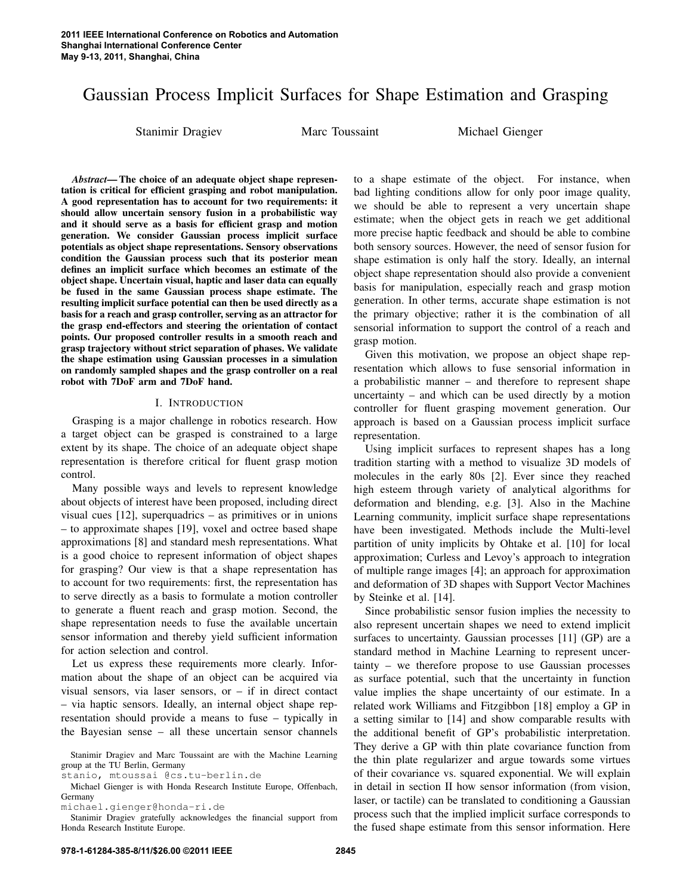# Gaussian Process Implicit Surfaces for Shape Estimation and Grasping

Stanimir Dragiev Marc Toussaint Michael Gienger

*Abstract*— The choice of an adequate object shape representation is critical for efficient grasping and robot manipulation. A good representation has to account for two requirements: it should allow uncertain sensory fusion in a probabilistic way and it should serve as a basis for efficient grasp and motion generation. We consider Gaussian process implicit surface potentials as object shape representations. Sensory observations condition the Gaussian process such that its posterior mean defines an implicit surface which becomes an estimate of the object shape. Uncertain visual, haptic and laser data can equally be fused in the same Gaussian process shape estimate. The resulting implicit surface potential can then be used directly as a basis for a reach and grasp controller, serving as an attractor for the grasp end-effectors and steering the orientation of contact points. Our proposed controller results in a smooth reach and grasp trajectory without strict separation of phases. We validate the shape estimation using Gaussian processes in a simulation on randomly sampled shapes and the grasp controller on a real robot with 7DoF arm and 7DoF hand.

#### I. INTRODUCTION

Grasping is a major challenge in robotics research. How a target object can be grasped is constrained to a large extent by its shape. The choice of an adequate object shape representation is therefore critical for fluent grasp motion control.

Many possible ways and levels to represent knowledge about objects of interest have been proposed, including direct visual cues [12], superquadrics – as primitives or in unions – to approximate shapes [19], voxel and octree based shape approximations [8] and standard mesh representations. What is a good choice to represent information of object shapes for grasping? Our view is that a shape representation has to account for two requirements: first, the representation has to serve directly as a basis to formulate a motion controller to generate a fluent reach and grasp motion. Second, the shape representation needs to fuse the available uncertain sensor information and thereby yield sufficient information for action selection and control.

Let us express these requirements more clearly. Information about the shape of an object can be acquired via visual sensors, via laser sensors, or  $-$  if in direct contact – via haptic sensors. Ideally, an internal object shape representation should provide a means to fuse – typically in the Bayesian sense – all these uncertain sensor channels

stanio, mtoussai @cs.tu-berlin.de

to a shape estimate of the object. For instance, when bad lighting conditions allow for only poor image quality, we should be able to represent a very uncertain shape estimate; when the object gets in reach we get additional more precise haptic feedback and should be able to combine both sensory sources. However, the need of sensor fusion for shape estimation is only half the story. Ideally, an internal object shape representation should also provide a convenient basis for manipulation, especially reach and grasp motion generation. In other terms, accurate shape estimation is not the primary objective; rather it is the combination of all sensorial information to support the control of a reach and grasp motion.

Given this motivation, we propose an object shape representation which allows to fuse sensorial information in a probabilistic manner – and therefore to represent shape uncertainty – and which can be used directly by a motion controller for fluent grasping movement generation. Our approach is based on a Gaussian process implicit surface representation.

Using implicit surfaces to represent shapes has a long tradition starting with a method to visualize 3D models of molecules in the early 80s [2]. Ever since they reached high esteem through variety of analytical algorithms for deformation and blending, e.g. [3]. Also in the Machine Learning community, implicit surface shape representations have been investigated. Methods include the Multi-level partition of unity implicits by Ohtake et al. [10] for local approximation; Curless and Levoy's approach to integration of multiple range images [4]; an approach for approximation and deformation of 3D shapes with Support Vector Machines by Steinke et al. [14].

Since probabilistic sensor fusion implies the necessity to also represent uncertain shapes we need to extend implicit surfaces to uncertainty. Gaussian processes [11] (GP) are a standard method in Machine Learning to represent uncertainty – we therefore propose to use Gaussian processes as surface potential, such that the uncertainty in function value implies the shape uncertainty of our estimate. In a related work Williams and Fitzgibbon [18] employ a GP in a setting similar to [14] and show comparable results with the additional benefit of GP's probabilistic interpretation. They derive a GP with thin plate covariance function from the thin plate regularizer and argue towards some virtues of their covariance vs. squared exponential. We will explain in detail in section II how sensor information (from vision, laser, or tactile) can be translated to conditioning a Gaussian process such that the implied implicit surface corresponds to the fused shape estimate from this sensor information. Here

Stanimir Dragiev and Marc Toussaint are with the Machine Learning group at the TU Berlin, Germany

Michael Gienger is with Honda Research Institute Europe, Offenbach, Germany

michael.gienger@honda-ri.de

Stanimir Dragiev gratefully acknowledges the financial support from Honda Research Institute Europe.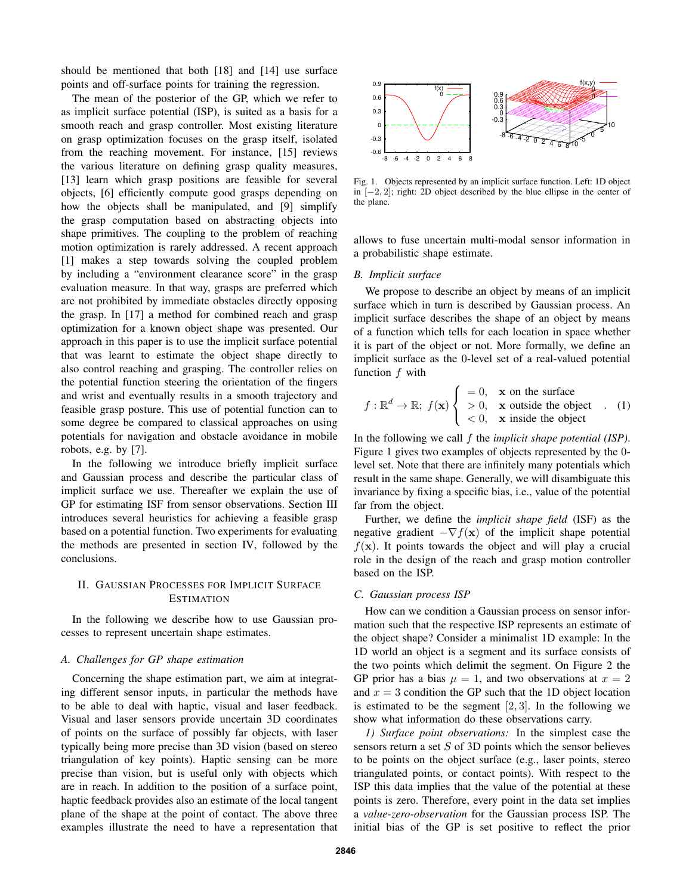should be mentioned that both [18] and [14] use surface points and off-surface points for training the regression.

The mean of the posterior of the GP, which we refer to as implicit surface potential (ISP), is suited as a basis for a smooth reach and grasp controller. Most existing literature on grasp optimization focuses on the grasp itself, isolated from the reaching movement. For instance, [15] reviews the various literature on defining grasp quality measures, [13] learn which grasp positions are feasible for several objects, [6] efficiently compute good grasps depending on how the objects shall be manipulated, and [9] simplify the grasp computation based on abstracting objects into shape primitives. The coupling to the problem of reaching motion optimization is rarely addressed. A recent approach [1] makes a step towards solving the coupled problem by including a "environment clearance score" in the grasp evaluation measure. In that way, grasps are preferred which are not prohibited by immediate obstacles directly opposing the grasp. In [17] a method for combined reach and grasp optimization for a known object shape was presented. Our approach in this paper is to use the implicit surface potential that was learnt to estimate the object shape directly to also control reaching and grasping. The controller relies on the potential function steering the orientation of the fingers and wrist and eventually results in a smooth trajectory and feasible grasp posture. This use of potential function can to some degree be compared to classical approaches on using potentials for navigation and obstacle avoidance in mobile robots, e.g. by [7].

In the following we introduce briefly implicit surface and Gaussian process and describe the particular class of implicit surface we use. Thereafter we explain the use of GP for estimating ISF from sensor observations. Section III introduces several heuristics for achieving a feasible grasp based on a potential function. Two experiments for evaluating the methods are presented in section IV, followed by the conclusions.

# II. GAUSSIAN PROCESSES FOR IMPLICIT SURFACE **ESTIMATION**

In the following we describe how to use Gaussian processes to represent uncertain shape estimates.

## *A. Challenges for GP shape estimation*

Concerning the shape estimation part, we aim at integrating different sensor inputs, in particular the methods have to be able to deal with haptic, visual and laser feedback. Visual and laser sensors provide uncertain 3D coordinates of points on the surface of possibly far objects, with laser typically being more precise than 3D vision (based on stereo triangulation of key points). Haptic sensing can be more precise than vision, but is useful only with objects which are in reach. In addition to the position of a surface point, haptic feedback provides also an estimate of the local tangent plane of the shape at the point of contact. The above three examples illustrate the need to have a representation that



Fig. 1. Objects represented by an implicit surface function. Left: 1D object in [−2, 2]; right: 2D object described by the blue ellipse in the center of the plane.

allows to fuse uncertain multi-modal sensor information in a probabilistic shape estimate.

## *B. Implicit surface*

We propose to describe an object by means of an implicit surface which in turn is described by Gaussian process. An implicit surface describes the shape of an object by means of a function which tells for each location in space whether it is part of the object or not. More formally, we define an implicit surface as the 0-level set of a real-valued potential function f with

$$
f: \mathbb{R}^d \to \mathbb{R}; f(\mathbf{x}) \begin{cases} =0, & \mathbf{x} \text{ on the surface} \\ >0, & \mathbf{x} \text{ outside the object} \\ <0, & \mathbf{x} \text{ inside the object} \end{cases} (1)
$$

In the following we call f the *implicit shape potential (ISP)*. Figure 1 gives two examples of objects represented by the 0 level set. Note that there are infinitely many potentials which result in the same shape. Generally, we will disambiguate this invariance by fixing a specific bias, i.e., value of the potential far from the object.

Further, we define the *implicit shape field* (ISF) as the negative gradient  $-\nabla f(\mathbf{x})$  of the implicit shape potential  $f(\mathbf{x})$ . It points towards the object and will play a crucial role in the design of the reach and grasp motion controller based on the ISP.

## *C. Gaussian process ISP*

How can we condition a Gaussian process on sensor information such that the respective ISP represents an estimate of the object shape? Consider a minimalist 1D example: In the 1D world an object is a segment and its surface consists of the two points which delimit the segment. On Figure 2 the GP prior has a bias  $\mu = 1$ , and two observations at  $x = 2$ and  $x = 3$  condition the GP such that the 1D object location is estimated to be the segment  $[2, 3]$ . In the following we show what information do these observations carry.

*1) Surface point observations:* In the simplest case the sensors return a set  $S$  of 3D points which the sensor believes to be points on the object surface (e.g., laser points, stereo triangulated points, or contact points). With respect to the ISP this data implies that the value of the potential at these points is zero. Therefore, every point in the data set implies a *value-zero-observation* for the Gaussian process ISP. The initial bias of the GP is set positive to reflect the prior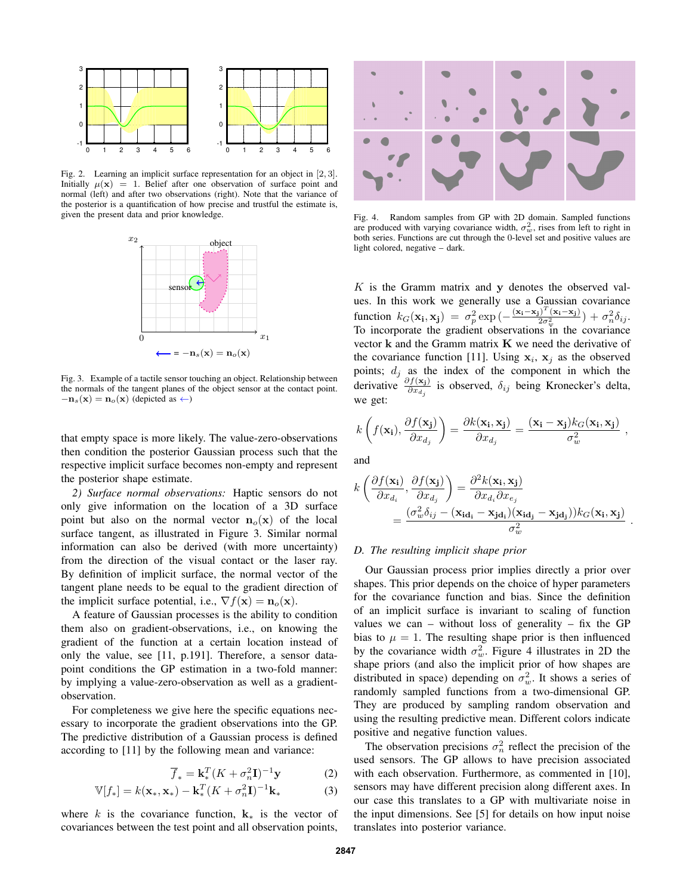

Fig. 2. Learning an implicit surface representation for an object in [2, 3]. Initially  $\mu(\mathbf{x}) = 1$ . Belief after one observation of surface point and normal (left) and after two observations (right). Note that the variance of the posterior is a quantification of how precise and trustful the estimate is, given the present data and prior knowledge.



Fig. 3. Example of a tactile sensor touching an object. Relationship between the normals of the tangent planes of the object sensor at the contact point.  $-\mathbf{n}_s(\mathbf{x}) = \mathbf{n}_o(\mathbf{x})$  (depicted as  $\leftarrow$ )

that empty space is more likely. The value-zero-observations then condition the posterior Gaussian process such that the respective implicit surface becomes non-empty and represent the posterior shape estimate.

*2) Surface normal observations:* Haptic sensors do not only give information on the location of a 3D surface point but also on the normal vector  $n_o(x)$  of the local surface tangent, as illustrated in Figure 3. Similar normal information can also be derived (with more uncertainty) from the direction of the visual contact or the laser ray. By definition of implicit surface, the normal vector of the tangent plane needs to be equal to the gradient direction of the implicit surface potential, i.e.,  $\nabla f(\mathbf{x}) = \mathbf{n}_o(\mathbf{x})$ .

A feature of Gaussian processes is the ability to condition them also on gradient-observations, i.e., on knowing the gradient of the function at a certain location instead of only the value, see [11, p.191]. Therefore, a sensor datapoint conditions the GP estimation in a two-fold manner: by implying a value-zero-observation as well as a gradientobservation.

For completeness we give here the specific equations necessary to incorporate the gradient observations into the GP. The predictive distribution of a Gaussian process is defined according to [11] by the following mean and variance:

$$
\overline{f}_* = \mathbf{k}_*^T (K + \sigma_n^2 \mathbf{I})^{-1} \mathbf{y}
$$
 (2)

$$
\mathbb{V}[f_*] = k(\mathbf{x}_*, \mathbf{x}_*) - \mathbf{k}_*^T (K + \sigma_n^2 \mathbf{I})^{-1} \mathbf{k}_*
$$
(3)

where k is the covariance function,  $k_{\ast}$  is the vector of covariances between the test point and all observation points,



Fig. 4. Random samples from GP with 2D domain. Sampled functions are produced with varying covariance width,  $\sigma_w^2$ , rises from left to right in both series. Functions are cut through the 0-level set and positive values are light colored, negative – dark.

 $K$  is the Gramm matrix and  $v$  denotes the observed values. In this work we generally use a Gaussian covariance function  $k_G(\mathbf{x_i}, \mathbf{x_j}) = \sigma_p^2 \exp\left(-\frac{(\mathbf{x_i} - \mathbf{x_j})^T(\mathbf{x_i} - \mathbf{x_j})}{2\sigma_m^2}\right)$  $\frac{\partial^2 \left( \mathbf{x_i} - \mathbf{x_j} \right)}{2 \sigma_w^2}$ ) +  $\sigma_n^2 \delta_{ij}$ . To incorporate the gradient observations in the covariance vector  $k$  and the Gramm matrix  $K$  we need the derivative of the covariance function [11]. Using  $x_i$ ,  $x_j$  as the observed points;  $d_j$  as the index of the component in which the derivative  $\frac{\partial f(\mathbf{x_j})}{\partial x_j}$  $\frac{\partial J(\mathbf{x}_j)}{\partial x_{d_j}}$  is observed,  $\delta_{ij}$  being Kronecker's delta, we get:

$$
k\left(f(\mathbf{x_i}),\frac{\partial f(\mathbf{x_j})}{\partial x_{d_j}}\right) = \frac{\partial k(\mathbf{x_i}, \mathbf{x_j})}{\partial x_{d_j}} = \frac{(\mathbf{x_i} - \mathbf{x_j})k_G(\mathbf{x_i}, \mathbf{x_j})}{\sigma_w^2},
$$

and

$$
k\left(\frac{\partial f(\mathbf{x_i})}{\partial x_{d_i}}, \frac{\partial f(\mathbf{x_j})}{\partial x_{d_j}}\right) = \frac{\partial^2 k(\mathbf{x_i}, \mathbf{x_j})}{\partial x_{d_i} \partial x_{e_j}}
$$
  
= 
$$
\frac{(\sigma_w^2 \delta_{ij} - (\mathbf{x_{id_i}} - \mathbf{x_{jd_i}})(\mathbf{x_{id_j}} - \mathbf{x_{jd_j}}))k_G(\mathbf{x_i}, \mathbf{x_j})}{\sigma_w^2}
$$

.

#### *D. The resulting implicit shape prior*

Our Gaussian process prior implies directly a prior over shapes. This prior depends on the choice of hyper parameters for the covariance function and bias. Since the definition of an implicit surface is invariant to scaling of function values we can – without loss of generality – fix the GP bias to  $\mu = 1$ . The resulting shape prior is then influenced by the covariance width  $\sigma_w^2$ . Figure 4 illustrates in 2D the shape priors (and also the implicit prior of how shapes are distributed in space) depending on  $\sigma_w^2$ . It shows a series of randomly sampled functions from a two-dimensional GP. They are produced by sampling random observation and using the resulting predictive mean. Different colors indicate positive and negative function values.

The observation precisions  $\sigma_n^2$  reflect the precision of the used sensors. The GP allows to have precision associated with each observation. Furthermore, as commented in [10], sensors may have different precision along different axes. In our case this translates to a GP with multivariate noise in the input dimensions. See [5] for details on how input noise translates into posterior variance.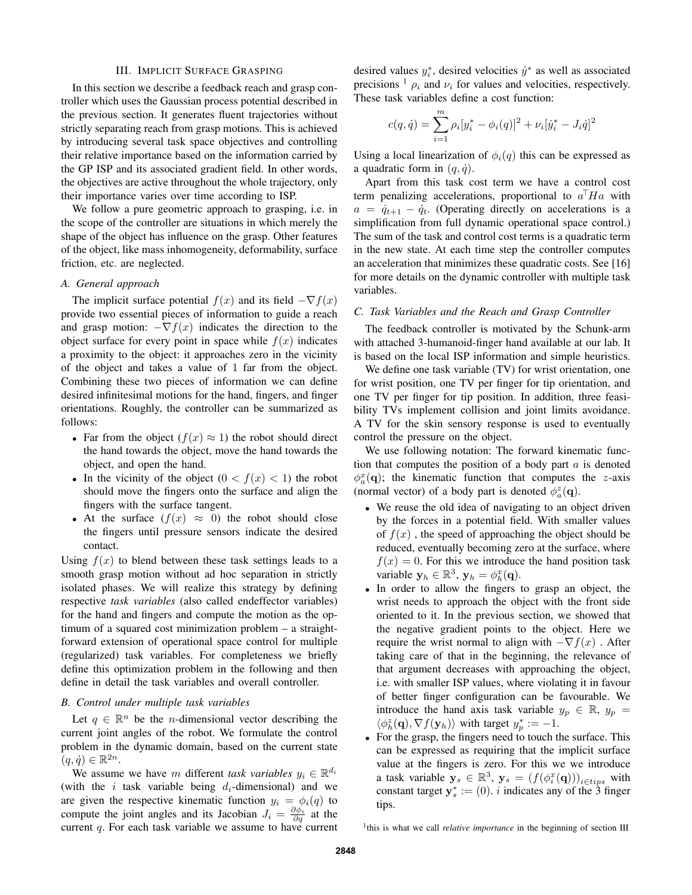#### III. IMPLICIT SURFACE GRASPING

In this section we describe a feedback reach and grasp controller which uses the Gaussian process potential described in the previous section. It generates fluent trajectories without strictly separating reach from grasp motions. This is achieved by introducing several task space objectives and controlling their relative importance based on the information carried by the GP ISP and its associated gradient field. In other words, the objectives are active throughout the whole trajectory, only their importance varies over time according to ISP.

We follow a pure geometric approach to grasping, i.e. in the scope of the controller are situations in which merely the shape of the object has influence on the grasp. Other features of the object, like mass inhomogeneity, deformability, surface friction, etc. are neglected.

## *A. General approach*

The implicit surface potential  $f(x)$  and its field  $-\nabla f(x)$ provide two essential pieces of information to guide a reach and grasp motion:  $-\nabla f(x)$  indicates the direction to the object surface for every point in space while  $f(x)$  indicates a proximity to the object: it approaches zero in the vicinity of the object and takes a value of 1 far from the object. Combining these two pieces of information we can define desired infinitesimal motions for the hand, fingers, and finger orientations. Roughly, the controller can be summarized as follows:

- Far from the object  $(f(x) \approx 1)$  the robot should direct the hand towards the object, move the hand towards the object, and open the hand.
- In the vicinity of the object  $(0 < f(x) < 1)$  the robot should move the fingers onto the surface and align the fingers with the surface tangent.
- At the surface  $(f(x) \approx 0)$  the robot should close the fingers until pressure sensors indicate the desired contact.

Using  $f(x)$  to blend between these task settings leads to a smooth grasp motion without ad hoc separation in strictly isolated phases. We will realize this strategy by defining respective *task variables* (also called endeffector variables) for the hand and fingers and compute the motion as the optimum of a squared cost minimization problem – a straightforward extension of operational space control for multiple (regularized) task variables. For completeness we briefly define this optimization problem in the following and then define in detail the task variables and overall controller.

## *B. Control under multiple task variables*

Let  $q \in \mathbb{R}^n$  be the *n*-dimensional vector describing the current joint angles of the robot. We formulate the control problem in the dynamic domain, based on the current state  $(q, \dot{q}) \in \mathbb{R}^{2n}$ .

We assume we have m different *task variables*  $y_i \in \mathbb{R}^{d_i}$ (with the i task variable being  $d_i$ -dimensional) and we are given the respective kinematic function  $y_i = \phi_i(q)$  to compute the joint angles and its Jacobian  $J_i = \frac{\partial \phi_i}{\partial q}$  at the current q. For each task variable we assume to have current

desired values  $y_i^*$ , desired velocities  $\dot{y}^*$  as well as associated precisions  $\frac{1}{\rho_i}$  and  $\nu_i$  for values and velocities, respectively. These task variables define a cost function:

$$
c(q, \dot{q}) = \sum_{i=1}^{m} \rho_i [y_i^* - \phi_i(q)]^2 + \nu_i [\dot{y}_i^* - J_i \dot{q}]^2
$$

Using a local linearization of  $\phi_i(q)$  this can be expressed as a quadratic form in  $(q, \dot{q})$ .

Apart from this task cost term we have a control cost term penalizing accelerations, proportional to  $a^{\dagger}Ha$  with  $a = \dot{q}_{t+1} - \dot{q}_t$ . (Operating directly on accelerations is a simplification from full dynamic operational space control.) The sum of the task and control cost terms is a quadratic term in the new state. At each time step the controller computes an acceleration that minimizes these quadratic costs. See [16] for more details on the dynamic controller with multiple task variables.

#### *C. Task Variables and the Reach and Grasp Controller*

The feedback controller is motivated by the Schunk-arm with attached 3-humanoid-finger hand available at our lab. It is based on the local ISP information and simple heuristics.

We define one task variable (TV) for wrist orientation, one for wrist position, one TV per finger for tip orientation, and one TV per finger for tip position. In addition, three feasibility TVs implement collision and joint limits avoidance. A TV for the skin sensory response is used to eventually control the pressure on the object.

We use following notation: The forward kinematic function that computes the position of a body part  $a$  is denoted  $\phi_a^x(\mathbf{q})$ ; the kinematic function that computes the z-axis (normal vector) of a body part is denoted  $\phi_a^z(\mathbf{q})$ .

- We reuse the old idea of navigating to an object driven by the forces in a potential field. With smaller values of  $f(x)$ , the speed of approaching the object should be reduced, eventually becoming zero at the surface, where  $f(x) = 0$ . For this we introduce the hand position task variable  $\mathbf{y}_h \in \mathbb{R}^3$ ,  $\mathbf{y}_h = \phi_h^x(\mathbf{q})$ .
- In order to allow the fingers to grasp an object, the wrist needs to approach the object with the front side oriented to it. In the previous section, we showed that the negative gradient points to the object. Here we require the wrist normal to align with  $-\nabla f(x)$ . After taking care of that in the beginning, the relevance of that argument decreases with approaching the object, i.e. with smaller ISP values, where violating it in favour of better finger configuration can be favourable. We introduce the hand axis task variable  $y_p \in \mathbb{R}$ ,  $y_p =$  $\langle \phi_h^z(\mathbf{q}), \nabla f(\mathbf{y}_h) \rangle$  with target  $y_p^* := -1$ .
- For the grasp, the fingers need to touch the surface. This can be expressed as requiring that the implicit surface value at the fingers is zero. For this we we introduce a task variable  $y_s \in \mathbb{R}^3$ ,  $y_s = (f(\phi_i^x(\mathbf{q})))_{i \in tips}$  with constant target  $y_s^* := (0)$ . *i* indicates any of the 3 finger tips.

<sup>&</sup>lt;sup>1</sup>this is what we call *relative importance* in the beginning of section III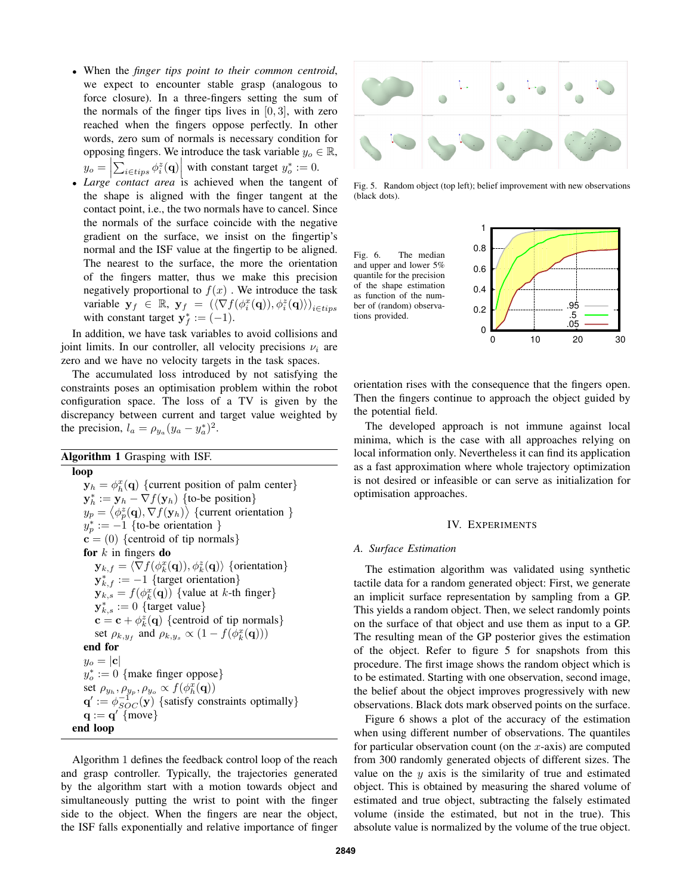- When the *finger tips point to their common centroid*, we expect to encounter stable grasp (analogous to force closure). In a three-fingers setting the sum of the normals of the finger tips lives in  $[0, 3]$ , with zero reached when the fingers oppose perfectly. In other words, zero sum of normals is necessary condition for opposing fingers. We introduce the task variable  $y_o \in \mathbb{R}$ ,  $y_o = \left| \sum_{i \in tips} \phi_i^z(\mathbf{q}) \right|$  with constant target  $y_o^* := 0$ .
- *Large contact area* is achieved when the tangent of the shape is aligned with the finger tangent at the contact point, i.e., the two normals have to cancel. Since the normals of the surface coincide with the negative gradient on the surface, we insist on the fingertip's normal and the ISF value at the fingertip to be aligned. The nearest to the surface, the more the orientation of the fingers matter, thus we make this precision negatively proportional to  $f(x)$ . We introduce the task variable  $\mathbf{y}_f \in \mathbb{R}, \mathbf{y}_f = (\langle \nabla f(\phi_i^x(\mathbf{q})), \phi_i^z(\mathbf{q}) \rangle)_{i \in tips}$ with constant target  $y_f^* := (-1)$ .

In addition, we have task variables to avoid collisions and joint limits. In our controller, all velocity precisions  $\nu_i$  are zero and we have no velocity targets in the task spaces.

The accumulated loss introduced by not satisfying the constraints poses an optimisation problem within the robot configuration space. The loss of a TV is given by the discrepancy between current and target value weighted by the precision,  $l_a = \rho_{y_a}(y_a - y_a^*)^2$ .

## Algorithm 1 Grasping with ISF.

loop  $\mathbf{y}_h = \phi_h^x(\mathbf{q})$  {current position of palm center}  $\mathbf{y}_h^* := \mathbf{y}_h - \nabla f(\mathbf{y}_h)$  {to-be position}  $y_p = \langle \phi_p^z(\mathbf{q}), \nabla f(\mathbf{y}_h) \rangle$  {current orientation }  $y_p^* := -1$  {to-be orientation }  $\mathbf{c} = (0)$  {centroid of tip normals} for  $k$  in fingers do  $\mathbf{y}_{k,f} = \langle \nabla f(\phi_k^x(\mathbf{q})), \phi_k^z(\mathbf{q}) \rangle$  {orientation}  $\mathbf{y}_{k,f}^* := -1$  {target orientation}  $\mathbf{y}_{k,s} = f(\phi_k^x(\mathbf{q}))$  {value at k-th finger}  $\mathbf{y}_{k,s}^* := 0$  {target value}  $\mathbf{c} = \mathbf{c} + \phi_k^z(\mathbf{q})$  {centroid of tip normals} set  $\rho_{k,y_f}$  and  $\rho_{k,y_s} \propto (1 - f(\phi_k^x(\mathbf{q})))$ end for  $y_o = |\mathbf{c}|$  $y_o^* := 0$  {make finger oppose} set  $\rho_{y_h}, \rho_{y_p}, \rho_{y_o} \propto f(\phi_h^x(\mathbf{q}))$  $\mathbf{q}' := \phi_{SOC}^{-1}(\mathbf{y})$  {satisfy constraints optimally}  $\mathbf{q} := \mathbf{q}'$  {move} end loop

Algorithm 1 defines the feedback control loop of the reach and grasp controller. Typically, the trajectories generated by the algorithm start with a motion towards object and simultaneously putting the wrist to point with the finger side to the object. When the fingers are near the object, the ISF falls exponentially and relative importance of finger



Fig. 5. Random object (top left); belief improvement with new observations (black dots).

Fig. 6. The median and upper and lower 5% quantile for the precision of the shape estimation as function of the number of (random) observations provided.



orientation rises with the consequence that the fingers open. Then the fingers continue to approach the object guided by the potential field.

The developed approach is not immune against local minima, which is the case with all approaches relying on local information only. Nevertheless it can find its application as a fast approximation where whole trajectory optimization is not desired or infeasible or can serve as initialization for optimisation approaches.

#### IV. EXPERIMENTS

## *A. Surface Estimation*

The estimation algorithm was validated using synthetic tactile data for a random generated object: First, we generate an implicit surface representation by sampling from a GP. This yields a random object. Then, we select randomly points on the surface of that object and use them as input to a GP. The resulting mean of the GP posterior gives the estimation of the object. Refer to figure 5 for snapshots from this procedure. The first image shows the random object which is to be estimated. Starting with one observation, second image, the belief about the object improves progressively with new observations. Black dots mark observed points on the surface.

Figure 6 shows a plot of the accuracy of the estimation when using different number of observations. The quantiles for particular observation count (on the  $x$ -axis) are computed from 300 randomly generated objects of different sizes. The value on the  $y$  axis is the similarity of true and estimated object. This is obtained by measuring the shared volume of estimated and true object, subtracting the falsely estimated volume (inside the estimated, but not in the true). This absolute value is normalized by the volume of the true object.